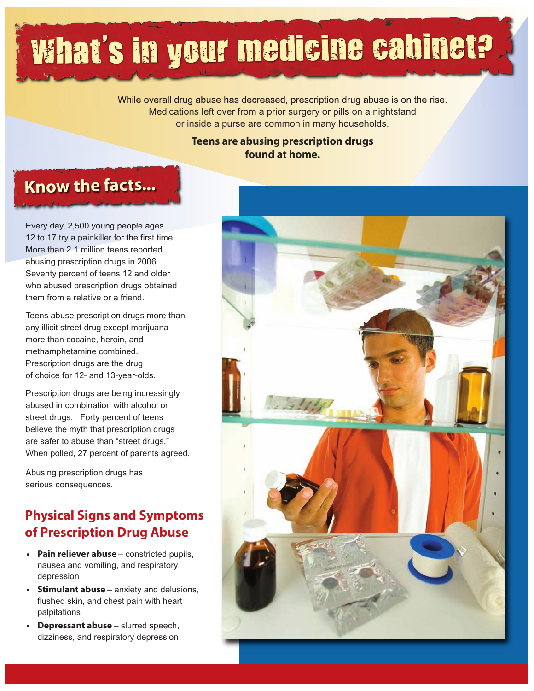# What's in your medicine cabinet? '

While overall drug abuse has decreased, prescription drug abuse is on the rise. Medications left over from a prior surgery or pills on a nightstand or inside a purse are common in many households.

### **Teens are abusing prescription drugs found at home.**

### **Know the facts...**

Every day, 2,500 young people ages 12 to 17 try a painkiller for the first time. More than 2.1 million teens reported abusing prescription drugs in 2006. Seventy percent of teens 12 and older who abused prescription drugs obtained them from a relative or a friend.

Teens abuse prescription drugs more than any illicit street drug except marijuana – more than cocaine, heroin, and methamphetamine combined. Prescription drugs are the drug of choice for 12- and 13-year-olds.

Prescription drugs are being increasingly abused in combination with alcohol or street drugs. Forty percent of teens believe the myth that prescription drugs are safer to abuse than "street drugs." When polled, 27 percent of parents agreed.

Abusing prescription drugs has serious consequences.

### **Physical Signs and Symptoms of Prescription Drug Abuse**

- **Pain reliever abuse** constricted pupils, nausea and vomiting, and respiratory depression
- **Stimulant abuse** anxiety and delusions, flushed skin, and chest pain with heart palpitations
- **Depressant abuse** slurred speech, dizziness, and respiratory depression